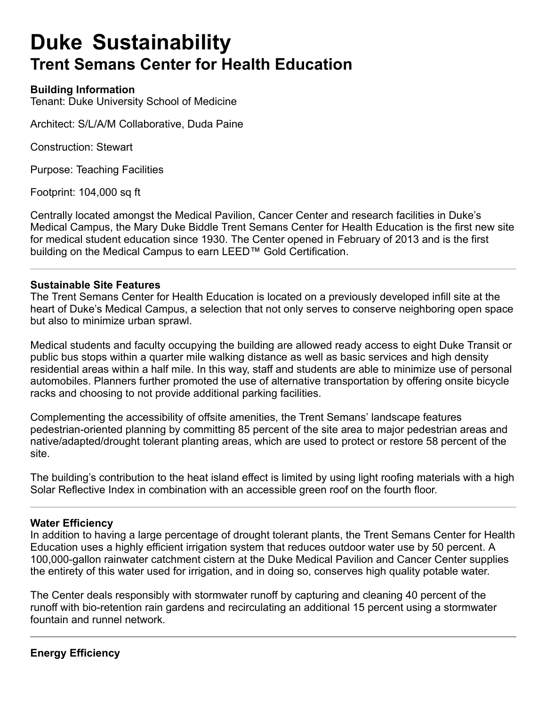# **Duke Sustainability Trent Semans Center for Health Education**

# **Building Information**

Tenant: Duke University School of Medicine

Architect: S/L/A/M Collaborative, Duda Paine

Construction: Stewart

Purpose: Teaching Facilities

Footprint: 104,000 sq ft

Centrally located amongst the Medical Pavilion, Cancer Center and research facilities in Duke's Medical Campus, the Mary Duke Biddle Trent Semans Center for Health Education is the first new site for medical student education since 1930. The Center opened in February of 2013 and is the first building on the Medical Campus to earn LEED™ Gold Certification.

## **Sustainable Site Features**

The Trent Semans Center for Health Education is located on a previously developed infill site at the heart of Duke's Medical Campus, a selection that not only serves to conserve neighboring open space but also to minimize urban sprawl.

Medical students and faculty occupying the building are allowed ready access to eight Duke Transit or public bus stops within a quarter mile walking distance as well as basic services and high density residential areas within a half mile. In this way, staff and students are able to minimize use of personal automobiles. Planners further promoted the use of alternative transportation by offering onsite bicycle racks and choosing to not provide additional parking facilities.

Complementing the accessibility of offsite amenities, the Trent Semans' landscape features pedestrian-oriented planning by committing 85 percent of the site area to major pedestrian areas and native/adapted/drought tolerant planting areas, which are used to protect or restore 58 percent of the site.

The building's contribution to the heat island effect is limited by using light roofing materials with a high Solar Reflective Index in combination with an accessible green roof on the fourth floor.

#### **Water Efficiency**

In addition to having a large percentage of drought tolerant plants, the Trent Semans Center for Health Education uses a highly efficient irrigation system that reduces outdoor water use by 50 percent. A 100,000-gallon rainwater catchment cistern at the Duke Medical Pavilion and Cancer Center supplies the entirety of this water used for irrigation, and in doing so, conserves high quality potable water.

The Center deals responsibly with stormwater runoff by capturing and cleaning 40 percent of the runoff with bio-retention rain gardens and recirculating an additional 15 percent using a stormwater fountain and runnel network.